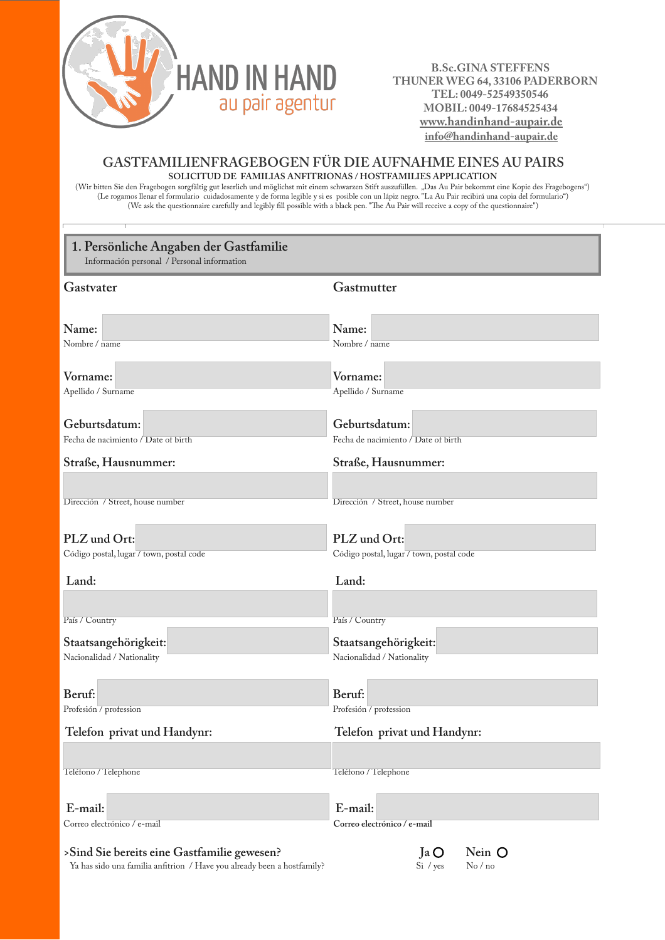

 **B.Sc.GINA STEFFENS THUNER WEG 64, 33106 PADERBORN TEL: 0049-52549350546 MOBIL: 0049-17684525434 www.handinhand-aupair.de info@handinhand-aupair.de**

#### **GASTFAMILIENFRAGEBOGEN FÜR DIE AUFNAHME EINES AU PAIRS SOLICITUD DE FAMILIAS ANFITRIONAS / HOSTFAMILIES APPLICATION**

(Wir bitten Sie den Fragebogen sorgfältig gut leserlich und möglichst mit einem schwarzen Stift auszufüllen. "Das Au Pair bekommt eine Kopie des Fragebogens") (Le rogamos llenar el formulario cuidadosamente y de forma legible y si es posible con un lápiz negro. "La Au Pair recibirá una copia del formulario") (We ask the questionnaire carefully and legibly fill possible with a black pen. "The Au Pair will receive a copy of the questionnaire")

| 1. Persönliche Angaben der Gastfamilie<br>Información personal / Personal information                                  |                                          |  |  |  |
|------------------------------------------------------------------------------------------------------------------------|------------------------------------------|--|--|--|
| Gastvater                                                                                                              | Gastmutter                               |  |  |  |
|                                                                                                                        |                                          |  |  |  |
| Name:<br>Nombre / name                                                                                                 | Name:<br>Nombre / name                   |  |  |  |
|                                                                                                                        |                                          |  |  |  |
| Vorname:                                                                                                               | Vorname:                                 |  |  |  |
| Apellido / Surname                                                                                                     | Apellido / Surname                       |  |  |  |
| Geburtsdatum:                                                                                                          | Geburtsdatum:                            |  |  |  |
| Fecha de nacimiento / Date of birth                                                                                    | Fecha de nacimiento / Date of birth      |  |  |  |
| Straße, Hausnummer:                                                                                                    | Straße, Hausnummer:                      |  |  |  |
|                                                                                                                        |                                          |  |  |  |
| Dirección / Street, house number                                                                                       | Dirección / Street, house number         |  |  |  |
| PLZ und Ort:                                                                                                           | PLZ und Ort:                             |  |  |  |
| Código postal, lugar / town, postal code                                                                               | Código postal, lugar / town, postal code |  |  |  |
| Land:                                                                                                                  | Land:                                    |  |  |  |
|                                                                                                                        |                                          |  |  |  |
| País / Country                                                                                                         | País / Country                           |  |  |  |
| Staatsangehörigkeit:                                                                                                   | Staatsangehörigkeit:                     |  |  |  |
| Nacionalidad / Nationality                                                                                             | Nacionalidad / Nationality               |  |  |  |
|                                                                                                                        |                                          |  |  |  |
| Beruf:                                                                                                                 | Beruf:                                   |  |  |  |
| Profesión / profession<br>$\mathbf{r}$ $\mathbf{r}$ $\mathbf{r}$                                                       | Profesión / profession                   |  |  |  |
| Telefon privat und Handynr:                                                                                            | Telefon privat und Handynr:              |  |  |  |
|                                                                                                                        |                                          |  |  |  |
| Teléfono / Telephone                                                                                                   | Teléfono / Telephone                     |  |  |  |
| E-mail:                                                                                                                | E-mail:                                  |  |  |  |
| Correo electrónico / e-mail                                                                                            | Correo electrónico / e-mail              |  |  |  |
| >Sind Sie bereits eine Gastfamilie gewesen?<br>Ya has sido una familia anfitrion / Have you already been a hostfamily? | Nein O<br>$Ja$ $O$<br>No/no<br>Si / yes  |  |  |  |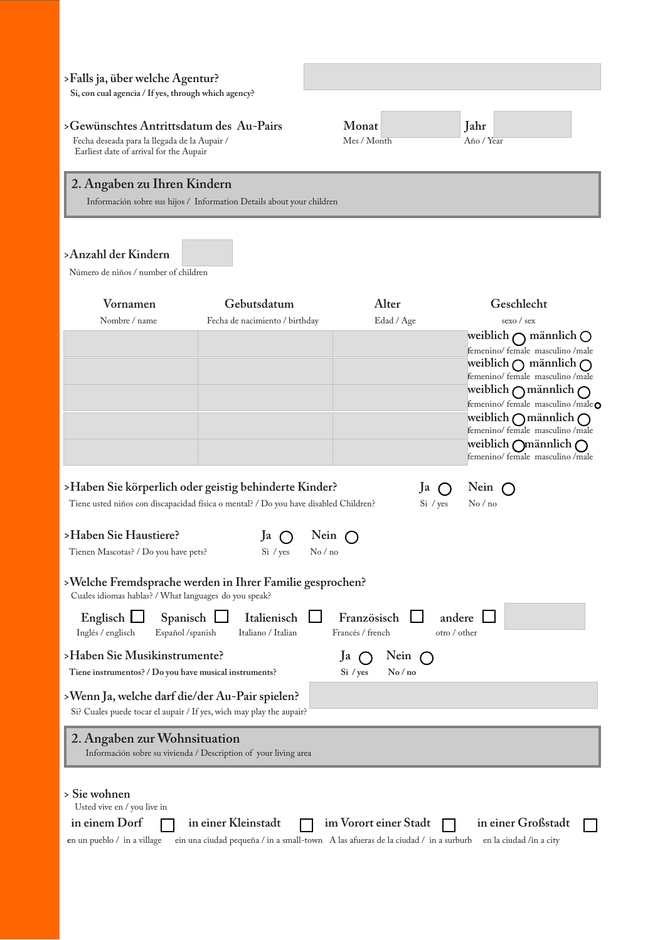## **>Falls ja, über welche Agentur?**

**Si, con cual agencia / If yes, through which agency?**

# **>Gewünschtes Antrittsdatum des Au-Pairs Monat Jahr**

Fecha deseada para la llegada de la Aupair / Mes / Month Año / Year Earliest date of arrival for the Aupair

# **2. Angaben zu Ihren Kindern**

Información sobre sus hijos / Information Details about your children

## **>Anzahl der Kindern**

Número de niños / number of children

| Vornamen                                                                                                                                                                                                                                                                                                                                                                                                      | Gebutsdatum                                                                                                              | Alter                                                                                                                    | Geschlecht                                                                 |
|---------------------------------------------------------------------------------------------------------------------------------------------------------------------------------------------------------------------------------------------------------------------------------------------------------------------------------------------------------------------------------------------------------------|--------------------------------------------------------------------------------------------------------------------------|--------------------------------------------------------------------------------------------------------------------------|----------------------------------------------------------------------------|
| Nombre / name                                                                                                                                                                                                                                                                                                                                                                                                 | Fecha de nacimiento / birthday                                                                                           | Edad / Age                                                                                                               | sexo / sex                                                                 |
|                                                                                                                                                                                                                                                                                                                                                                                                               |                                                                                                                          |                                                                                                                          | weiblich $\bigcap$ männlich $\bigcirc$<br>femenino/ female masculino /male |
|                                                                                                                                                                                                                                                                                                                                                                                                               |                                                                                                                          |                                                                                                                          | weiblich $\bigcap$ männlich $\bigcap$                                      |
|                                                                                                                                                                                                                                                                                                                                                                                                               |                                                                                                                          |                                                                                                                          | femenino/female masculino/male<br>weiblich $\bigcap$ männlich $\bigcap$    |
|                                                                                                                                                                                                                                                                                                                                                                                                               |                                                                                                                          |                                                                                                                          | femenino/ female masculino /male o                                         |
|                                                                                                                                                                                                                                                                                                                                                                                                               |                                                                                                                          |                                                                                                                          | weiblich $\bigcap$ männlich $\bigcap$<br>femenino/ female masculino /male  |
|                                                                                                                                                                                                                                                                                                                                                                                                               |                                                                                                                          |                                                                                                                          | weiblich Omännlich O<br>femenino/ female masculino /male                   |
|                                                                                                                                                                                                                                                                                                                                                                                                               | >Haben Sie körperlich oder geistig behinderte Kinder?                                                                    | Ja                                                                                                                       | Nein                                                                       |
|                                                                                                                                                                                                                                                                                                                                                                                                               | Tiene usted niños con discapacidad física o mental? / Do you have disabled Children?                                     | Si / yes                                                                                                                 | No/no                                                                      |
| >Haben Sie Haustiere?<br>Tienen Mascotas? / Do you have pets?<br>Cuales idiomas hablas? / What languages do you speak?<br>Englisch  <br>Spanisch<br>Inglés / englisch<br>Español /spanish<br>>Haben Sie Musikinstrumente?<br>Tiene instrumentos? / Do you have musical instruments?<br>>Wenn Ja, welche darf die/der Au-Pair spielen?<br>Si? Cuales puede tocar el aupair / If yes, wich may play the aupair? | Ja<br>No/no<br>Si / yes<br>>Welche Fremdsprache werden in Ihrer Familie gesprochen?<br>Italienisch<br>Italiano / Italian | Nein $\bigcap$<br>Französisch<br>andere<br>Francés / french<br>otro / other<br>Ja<br>Nein $\bigcap$<br>Si / yes<br>No/no |                                                                            |
|                                                                                                                                                                                                                                                                                                                                                                                                               |                                                                                                                          |                                                                                                                          |                                                                            |
| 2. Angaben zur Wohnsituation                                                                                                                                                                                                                                                                                                                                                                                  | Información sobre su vivienda / Description of your living area                                                          |                                                                                                                          |                                                                            |
| > Sie wohnen<br>Usted vive en / you live in<br>in einem Dorf                                                                                                                                                                                                                                                                                                                                                  | in einer Kleinstadt                                                                                                      | im Vorort einer Stadt                                                                                                    | in einer Großstadt                                                         |
| en un pueblo $\ell$ in a village                                                                                                                                                                                                                                                                                                                                                                              | ein una ciudad pequeña / in a small-town A las afueras de la ciudad / in a surburb                                       |                                                                                                                          | en la ciudad /in a city                                                    |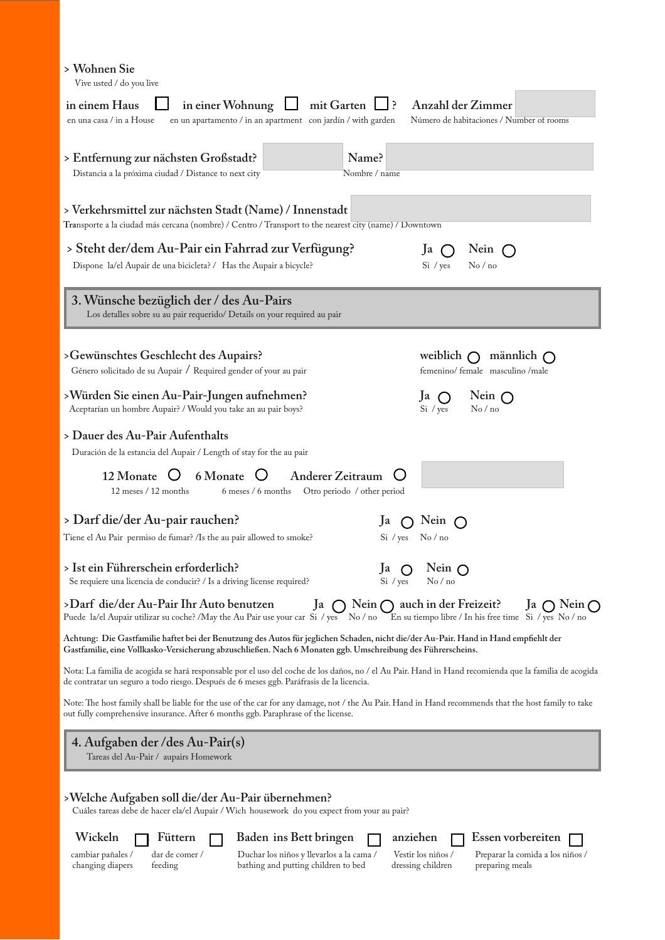| Vive usted / do you live                                                                                                                                                                                                                            |                                                                                                                                 |
|-----------------------------------------------------------------------------------------------------------------------------------------------------------------------------------------------------------------------------------------------------|---------------------------------------------------------------------------------------------------------------------------------|
| in einem Haus<br>in einer Wohnung<br>mit Garten<br>en una casa / in a House<br>en un apartamento / in an apartment con jardín / with garden                                                                                                         | Anzahl der Zimmer<br>_] ?<br>Número de habitaciones / Number of rooms                                                           |
| Name?<br>> Entfernung zur nächsten Großstadt?<br>Distancia a la próxima ciudad / Distance to next city<br>Nombre / name                                                                                                                             |                                                                                                                                 |
| > Verkehrsmittel zur nächsten Stadt (Name) / Innenstadt<br>Transporte a la ciudad más cercana (nombre) / Centro / Transport to the nearest city (name) / Downtown                                                                                   |                                                                                                                                 |
| > Steht der/dem Au-Pair ein Fahrrad zur Verfügung?<br>Dispone la/el Aupair de una bicicleta? / Has the Aupair a bicycle?                                                                                                                            | Nein<br>Ja<br>Si / yes<br>$\mathrm{No}$ / no                                                                                    |
| 3. Wünsche bezüglich der / des Au-Pairs<br>Los detalles sobre su au pair requerido/ Details on your required au pair                                                                                                                                |                                                                                                                                 |
| >Gewünschtes Geschlecht des Aupairs?<br>Género solicitado de su Aupair / Required gender of your au pair                                                                                                                                            | weiblich $\bigcap$<br>männlich $\bigcap$<br>femenino/female masculino/male                                                      |
| >Würden Sie einen Au-Pair-Jungen aufnehmen?<br>Aceptarían un hombre Aupair? / Would you take an au pair boys?                                                                                                                                       | Nein $\bigcap$<br>Ja<br>No/no<br>Si / yes                                                                                       |
| > Dauer des Au-Pair Aufenthalts<br>Duración de la estancia del Aupair / Length of stay for the au pair                                                                                                                                              |                                                                                                                                 |
| 6 Monate<br>12 Monate<br><b>Anderer Zeitraum</b><br>12 meses / 12 months<br>6 meses / 6 months<br>Otro periodo / other period                                                                                                                       |                                                                                                                                 |
| > Darf die/der Au-pair rauchen?<br>Tiene el Au Pair permiso de fumar? /Is the au pair allowed to smoke?                                                                                                                                             | Nein<br><sub>la</sub><br>Si / yes<br>No/no                                                                                      |
| > Ist ein Führerschein erforderlich?<br>Se requiere una licencia de conducir? / Is a driving license required?                                                                                                                                      | Nein $\bigcap$<br>Ja<br>Si / yes<br>No/no                                                                                       |
| >Darf die/der Au-Pair Ihr Auto benutzen<br>Nein $\bigcap$<br>Ja<br>Puede la/el Aupair utilizar su coche? /May the Au Pair use your car Si / yes<br>$\operatorname{No} / \operatorname{no}$                                                          | auch in der Freizeit?<br>Nein $\bigcap$<br> a <br>En su tiempo libre / In his free time Si / yes No / no                        |
| Achtung: Die Gastfamilie haftet bei der Benutzung des Autos für jeglichen Schaden, nicht die/der Au-Pair. Hand in Hand empfiehlt der<br>Gastfamilie, eine Vollkasko-Versicherung abzuschließen. Nach 6 Monaten ggb. Umschreibung des Führerscheins. |                                                                                                                                 |
| Nota: La familia de acogida se hará responsable por el uso del coche de los daños, no / el Au Pair. Hand in Hand recomienda que la familia de acogida<br>de contratar un seguro a todo riesgo. Después de 6 meses ggb. Paráfrasis de la licencia.   |                                                                                                                                 |
| Note: The host family shall be liable for the use of the car for any damage, not / the Au Pair. Hand in Hand recommends that the host family to take<br>out fully comprehensive insurance. After 6 months ggb. Paraphrase of the license.           |                                                                                                                                 |
| 4. Aufgaben der / des Au-Pair(s)<br>Tareas del Au-Pair / aupairs Homework                                                                                                                                                                           |                                                                                                                                 |
| >Welche Aufgaben soll die/der Au-Pair übernehmen?<br>Cuáles tareas debe de hacer ela/el Aupair / Wich housework do you expect from your au pair?                                                                                                    |                                                                                                                                 |
| Wickeln<br>Füttern<br>Baden ins Bett bringen<br>dar de comer /<br>Duchar los niños y llevarlos a la cama /<br>cambiar pañales /<br>changing diapers<br>bathing and putting children to bed<br>feeding                                               | Essen vorbereiten<br>anziehen<br>Vestir los niños /<br>Preparar la comida a los niños /<br>dressing children<br>preparing meals |

**> Wohnen Sie**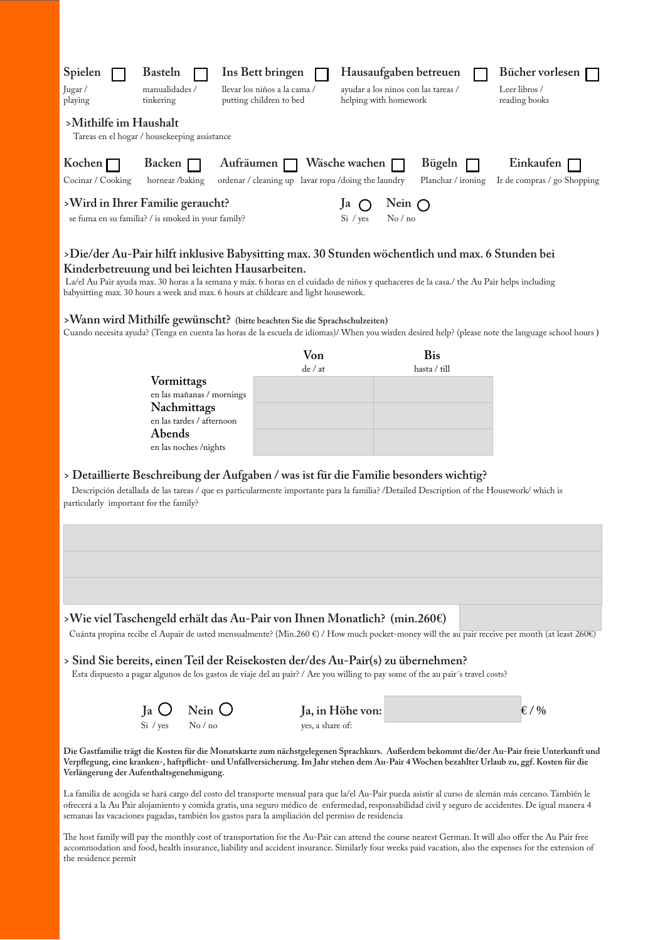| Spielen                       | <b>Basteln</b>                                                                         | Ins Bett bringen                                                         | Hausaufgaben betreuen                                        |                              | Bücher vorlesen                            |
|-------------------------------|----------------------------------------------------------------------------------------|--------------------------------------------------------------------------|--------------------------------------------------------------|------------------------------|--------------------------------------------|
| Jugar/<br>playing             | manualidades /<br>tinkering                                                            | llevar los niños a la cama /<br>putting children to bed                  | ayudar a los ninos con las tareas /<br>helping with homework |                              | Leer libros /<br>reading books             |
| >Mithilfe im Haushalt         | Tareas en el hogar / housekeeping assistance                                           |                                                                          |                                                              |                              |                                            |
| Kochen [<br>Cocinar / Cooking | Backen [<br>hornear /baking                                                            | Aufräumen $\Box$<br>ordenar / cleaning up lavar ropa / doing the laundry | Wäsche wachen $\Gamma$                                       | Bügeln<br>Planchar / ironing | Einkaufen [<br>Ir de compras / go Shopping |
|                               | >Wird in Ihrer Familie geraucht?<br>se fuma en su familia? / is smoked in your family? |                                                                          | Nein $\bigcap$<br><sub>1</sub> I<br>No/no<br>Si / yes        |                              |                                            |

#### **>Die/der Au-Pair hilft inklusive Babysitting max. 30 Stunden wöchentlich und max. 6 Stunden bei Kinderbetreuung und bei leichten Hausarbeiten.**

La/el Au Pair ayuda max. 30 horas a la semana y máx. 6 horas en el cuidado de niños y quehaceres de la casa./ the Au Pair helps including babysitting max. 30 hours a week and max. 6 hours at childcare and light housework.

#### **>Wann wird Mithilfe gewünscht? (bitte beachten Sie die Sprachschulzeiten)**

Cuando necesita ayuda? (Tenga en cuenta las horas de la escuela de idiomas)/ When you wirden desired help? (please note the language school hours **)**

|                           | Von     | <b>Bis</b>   |
|---------------------------|---------|--------------|
|                           | de / at | hasta / till |
| Vormittags                |         |              |
| en las mañanas / mornings |         |              |
| Nachmittags               |         |              |
| en las tardes / afternoon |         |              |
| Abends                    |         |              |
| en las noches /nights     |         |              |

#### **> Detaillierte Beschreibung der Aufgaben / was ist für die Familie besonders wichtig?**

Descripción detallada de las tareas / que es particularmente importante para la familia? /Detailed Description of the Housework/ which is particularly important for the family?

#### **>Wie viel Taschengeld erhält das Au-Pair von Ihnen Monatlich? (min.260€)**

Cuánta propina recibe el Aupair de usted mensualmente? (Min.260 €) / How much pocket-money will the au pair receive per month (at least 260€)

#### **> Sind Sie bereits, einen Teil der Reisekosten der/des Au-Pair(s) zu übernehmen?**

Esta dispuesto a pagar algunos de los gastos de viaje del au pair? / Are you willing to pay some of the au pair´s travel costs?

|                  | Ja $\bigcirc$ Nein $\bigcirc$ | Ja, in Höhe von: | $\epsilon$ / % |
|------------------|-------------------------------|------------------|----------------|
| $Si / ves$ No/no |                               | ves, a share of: |                |

**Die Gastfamilie trägt die Kosten für die Monatskarte zum nächstgelegenen Sprachkurs. Außerdem bekommt die/der Au-Pair freie Unterkunft und Verpflegung, eine kranken-, haftpflicht- und Unfallversicherung. Im Jahr stehen dem Au-Pair 4 Wochen bezahlter Urlaub zu, ggf. Kosten für die Verlängerung der Aufenthaltsgenehmigung.**

La familia de acogida se hará cargo del costo del transporte mensual para que la/el Au-Pair pueda asistir al curso de alemán más cercano. También le ofrecerá a la Au Pair alojamiento y comida gratis, una seguro médico de enfermedad, responsabilidad civil y seguro de accidentes. De igual manera 4 semanas las vacaciones pagadas, también los gastos para la ampliación del permiso de residencia

The host family will pay the monthly cost of transportation for the Au-Pair can attend the course nearest German. It will also offer the Au Pair free accommodation and food, health insurance, liability and accident insurance. Similarly four weeks paid vacation, also the expenses for the extension of the residence permit